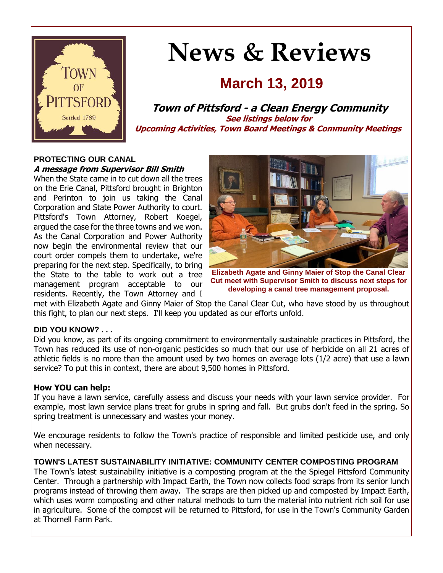

# **News & Reviews**

# **March 13, 2019**

**Town of Pittsford - a Clean Energy Community See listings below for Upcoming Activities, Town Board Meetings & Community Meetings**

# **PROTECTING OUR CANAL**

**A message from Supervisor Bill Smith**

When the State came in to cut down all the trees on the Erie Canal, Pittsford brought in Brighton and Perinton to join us taking the Canal Corporation and State Power Authority to court. Pittsford's Town Attorney, Robert Koegel, argued the case for the three towns and we won. As the Canal Corporation and Power Authority now begin the environmental review that our court order compels them to undertake, we're preparing for the next step. Specifically, to bring the State to the table to work out a tree management program acceptable to our residents. Recently, the Town Attorney and I



**Elizabeth Agate and Ginny Maier of Stop the Canal Clear Cut meet with Supervisor Smith to discuss next steps for developing a canal tree management proposal.**

met with Elizabeth Agate and Ginny Maier of Stop the Canal Clear Cut, who have stood by us throughout this fight, to plan our next steps. I'll keep you updated as our efforts unfold.

# **DID YOU KNOW? . . .**

Did you know, as part of its ongoing commitment to environmentally sustainable practices in Pittsford, the Town has reduced its use of non-organic pesticides so much that our use of herbicide on all 21 acres of athletic fields is no more than the amount used by two homes on average lots (1/2 acre) that use a lawn service? To put this in context, there are about 9,500 homes in Pittsford.

# **How YOU can help:**

If you have a lawn service, carefully assess and discuss your needs with your lawn service provider. For example, most lawn service plans treat for grubs in spring and fall. But grubs don't feed in the spring. So spring treatment is unnecessary and wastes your money.

We encourage residents to follow the Town's practice of responsible and limited pesticide use, and only when necessary.

# **TOWN'S LATEST SUSTAINABILITY INITIATIVE: COMMUNITY CENTER COMPOSTING PROGRAM**

The Town's latest sustainability initiative is a composting program at the the Spiegel Pittsford Community Center. Through a partnership with Impact Earth, the Town now collects food scraps from its senior lunch programs instead of throwing them away. The scraps are then picked up and composted by Impact Earth, which uses worm composting and other natural methods to turn the material into nutrient rich soil for use in agriculture. Some of the compost will be returned to Pittsford, for use in the Town's Community Garden at Thornell Farm Park.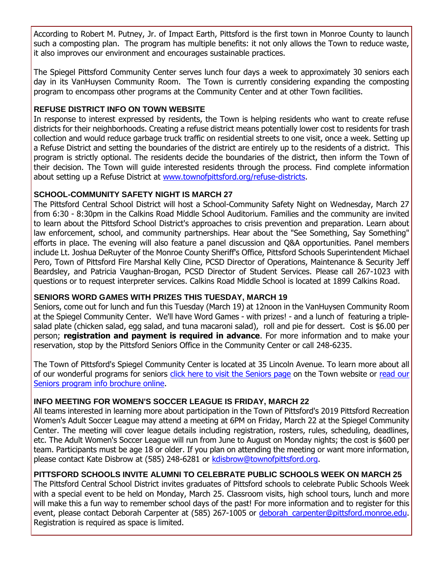According to Robert M. Putney, Jr. of Impact Earth, Pittsford is the first town in Monroe County to launch such a composting plan. The program has multiple benefits: it not only allows the Town to reduce waste, it also improves our environment and encourages sustainable practices.

The Spiegel Pittsford Community Center serves lunch four days a week to approximately 30 seniors each day in its VanHuysen Community Room. The Town is currently considering expanding the composting program to encompass other programs at the Community Center and at other Town facilities.

# **REFUSE DISTRICT INFO ON TOWN WEBSITE**

In response to interest expressed by residents, the Town is helping residents who want to create refuse districts for their neighborhoods. Creating a refuse district means potentially lower cost to residents for trash collection and would reduce garbage truck traffic on residential streets to one visit, once a week. Setting up a Refuse District and setting the boundaries of the district are entirely up to the residents of a district. This program is strictly optional. The residents decide the boundaries of the district, then inform the Town of their decision. The Town will guide interested residents through the process. Find complete information about setting up a Refuse District at [www.townofpittsford.org/refuse-districts.](http://r20.rs6.net/tn.jsp?f=001qD_i2gRjsB-knwYmWNi86pkBdB_xSI1T-t18N7NUQAR5DmTtrc_5AP9wiWmrjDjHFff-jkC_uBRim2dl3SiOjdIExiDuWlKbBQoZWfDeZ7t1PE1sqJKB2TJdDioZkEOGuI52Q92iRbYzZksU5-3muou15BpZxSsEO7wD0LXIlUfCP9X5niY26J5dz9TPcKZrSNqYpgOIBWWJJVCWZVQnxPcV9cstqpgxCjMvjsK6216KTgLY-s52iE3Kk4ZdVadQNZ93kX2ZWhDfFAQ66T7RD67-YPxc-aOi4voRKHiQsdoixVcbwqxFzfi-If1ldGlx&c=trlcXnQlGTubPdnZcsSs7X1zt-NspXySFkSY8RZq70q4EaDkpq5ueQ==&ch=mEcBb0khQvL20J_pSUsDddBFJ1FwCtREm13mNP59ORTgjpEc-hWqOw==)

# **SCHOOL-COMMUNITY SAFETY NIGHT IS MARCH 27**

The Pittsford Central School District will host a School-Community Safety Night on Wednesday, March 27 from 6:30 - 8:30pm in the Calkins Road Middle School Auditorium. Families and the community are invited to learn about the Pittsford School District's approaches to crisis prevention and preparation. Learn about law enforcement, school, and community partnerships. Hear about the "See Something, Say Something" efforts in place. The evening will also feature a panel discussion and Q&A opportunities. Panel members include Lt. Joshua DeRuyter of the Monroe County Sheriff's Office, Pittsford Schools Superintendent Michael Pero, Town of Pittsford Fire Marshal Kelly Cline, PCSD Director of Operations, Maintenance & Security Jeff Beardsley, and Patricia Vaughan-Brogan, PCSD Director of Student Services. Please call 267-1023 with questions or to request interpreter services. Calkins Road Middle School is located at 1899 Calkins Road.

# **SENIORS WORD GAMES WITH PRIZES THIS TUESDAY, MARCH 19**

Seniors, come out for lunch and fun this Tuesday (March 19) at 12noon in the VanHuysen Community Room at the Spiegel Community Center. We'll have Word Games - with prizes! - and a lunch of featuring a triplesalad plate (chicken salad, egg salad, and tuna macaroni salad), roll and pie for dessert. Cost is \$6.00 per person; **registration and payment is required in advance**. For more information and to make your reservation, stop by the Pittsford Seniors Office in the Community Center or call 248-6235.

The Town of Pittsford's Spiegel Community Center is located at 35 Lincoln Avenue. To learn more about all of our wonderful programs for seniors [click here to visit the Seniors page](http://r20.rs6.net/tn.jsp?f=001qD_i2gRjsB-knwYmWNi86pkBdB_xSI1T-t18N7NUQAR5DmTtrc_5AGBC8QPjEZ3-uR-ACg9c-3C-mqEL7ot3ejat7KD4tk5GY9KfqjZnpGlOLNQIiDI3SbPa4ux6XmbE46kYmDn3CqG6A0H0vjsYnmCRpYiE8R5vreqvxknBGELLgzvJWfs7Firw3QXZTqljNVSnfX1xMqvKrysXRMB1vWBi3fbxpF1acZ3Y5t1AZGvjU-D8y2NFNHiCh-DpxFYFhKPWmMW6udEE5J7oxe7DogRG4MwPTBROhSaAYu4xFV2g4My4zQglva94lydVzn1a&c=trlcXnQlGTubPdnZcsSs7X1zt-NspXySFkSY8RZq70q4EaDkpq5ueQ==&ch=mEcBb0khQvL20J_pSUsDddBFJ1FwCtREm13mNP59ORTgjpEc-hWqOw==) on the Town website or read our [Seniors program info brochure online.](http://r20.rs6.net/tn.jsp?f=001qD_i2gRjsB-knwYmWNi86pkBdB_xSI1T-t18N7NUQAR5DmTtrc_5AA2hKUZRZ7oHkyDR0oErVebRZuUAg82C_zBoRzrwJgz068X-p0igTpWEGDZism1cIt0HpiBvp3p_YfwGmUkxOxzHPD35jcGLH38xRw7T8pzPTGB06VyeAdn82RgzPrb2Z1tq7gGSxRLH6zQzO1m6bzlq2AMkb_ZE56Dv7hsx_wjE1I1YxKBwF1uZP63b2CTUIltk7Rubr2pLlmCt8uR7zyRPzzsqC9XU7UiZ_Y_Rpu0z7KsJydZPNqp-vaeLxFM3SpZoLQ6Q7paZwtn4BqPrDjGRXHTuAvXB5T-Z20sNMfKVP-xdCHsCa6GoOlTHXn7n0A==&c=trlcXnQlGTubPdnZcsSs7X1zt-NspXySFkSY8RZq70q4EaDkpq5ueQ==&ch=mEcBb0khQvL20J_pSUsDddBFJ1FwCtREm13mNP59ORTgjpEc-hWqOw==)

# **INFO MEETING FOR WOMEN'S SOCCER LEAGUE IS FRIDAY, MARCH 22**

All teams interested in learning more about participation in the Town of Pittsford's 2019 Pittsford Recreation Women's Adult Soccer League may attend a meeting at 6PM on Friday, March 22 at the Spiegel Community Center. The meeting will cover league details including registration, rosters, rules, scheduling, deadlines, etc. The Adult Women's Soccer League will run from June to August on Monday nights; the cost is \$600 per team. Participants must be age 18 or older. If you plan on attending the meeting or want more information, please contact Kate Disbrow at (585) 248-6281 or [kdisbrow@townofpittsford.org.](mailto:kdisbrow@townofpittsford.org?subject=Women)

# **PITTSFORD SCHOOLS INVITE ALUMNI TO CELEBRATE PUBLIC SCHOOLS WEEK ON MARCH 25**

The Pittsford Central School District invites graduates of Pittsford schools to celebrate Public Schools Week with a special event to be held on Monday, March 25. Classroom visits, high school tours, lunch and more will make this a fun way to remember school days of the past! For more information and to register for this event, please contact Deborah Carpenter at (585) 267-1005 or [deborah\\_carpenter@pittsford.monroe.edu.](mailto:deborah_carpenter@pittsford.monroe.edu) Registration is required as space is limited.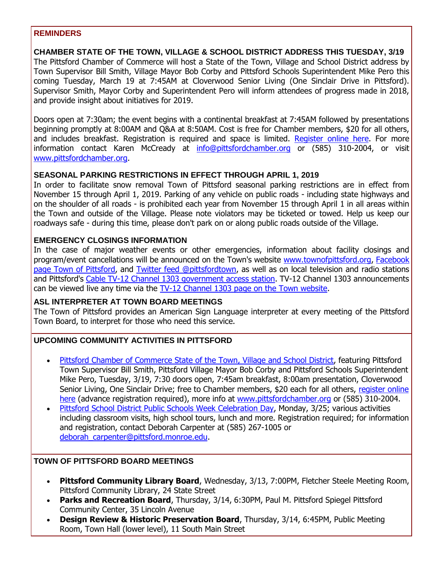#### **REMINDERS**

**CHAMBER STATE OF THE TOWN, VILLAGE & SCHOOL DISTRICT ADDRESS THIS TUESDAY, 3/19** The Pittsford Chamber of Commerce will host a State of the Town, Village and School District address by Town Supervisor Bill Smith, Village Mayor Bob Corby and Pittsford Schools Superintendent Mike Pero this coming Tuesday, March 19 at 7:45AM at Cloverwood Senior Living (One Sinclair Drive in Pittsford). Supervisor Smith, Mayor Corby and Superintendent Pero will inform attendees of progress made in 2018, and provide insight about initiatives for 2019.

Doors open at 7:30am; the event begins with a continental breakfast at 7:45AM followed by presentations beginning promptly at 8:00AM and Q&A at 8:50AM. Cost is free for Chamber members, \$20 for all others, and includes breakfast. Registration is required and space is limited. [Register online here.](http://r20.rs6.net/tn.jsp?f=001qD_i2gRjsB-knwYmWNi86pkBdB_xSI1T-t18N7NUQAR5DmTtrc_5AIJbJPWbIYSLVC5uA4Fa4gTgFLQbEyu_UWnY761zkmHLMw24rK8H73ysRAirC77GZUWGMVgZ_he2pQ5x0vIPhXf0JMe7iABZtF2FrzwXnGwKEJ6KCoVcM3FQmFz-taVjxk_VVkl0s68fBLiM5dM_3m2Q-bcFRSsYDZ6NpAIC4dNsbfBOtbZGhuvij9_D397UNYxPQaHw1Pb8XsejdWNF25g2-aDZcGT8zVFQppYcLZSBNd0BOrNyd7zY1H6b_ZiU9H-POZhCDbAWcHfIyT1fOSndSgayNxjBnjFMnx0Xp78exuCZPYBVDrF1l79M4hUPMgvIwk_1B5_Ku_fCZ4m5DThHsZXaQdCKqbv_LukSAh8KW2_5jRlL--bCElLlF0AulvwPOda8Mc9balRuuiZDwrlnHmu-s9CFuxArT7djWtJd5gHYSbOlg-qTIdEZQ4Vsug==&c=trlcXnQlGTubPdnZcsSs7X1zt-NspXySFkSY8RZq70q4EaDkpq5ueQ==&ch=mEcBb0khQvL20J_pSUsDddBFJ1FwCtREm13mNP59ORTgjpEc-hWqOw==) For more information contact Karen McCready at [info@pittsfordchamber.org](mailto:info@pittsfordchamber.org?subject=Pittsford%20State%20of%20the%20Town%20Village%20Schools) or (585) 310-2004, or visit [www.pittsfordchamber.org.](http://r20.rs6.net/tn.jsp?f=001qD_i2gRjsB-knwYmWNi86pkBdB_xSI1T-t18N7NUQAR5DmTtrc_5ABWK1b-1mZt6wUEknFfez1YmxoIjRmYT3J1dO5wEsuTEfAdvVCa-HYeDQ-BfwMVciGfwWi7tmMyuAQfzsebDHVQxqgZ5-5oyTiKeAExLYGr9Ry1QfE5d1OwRMtwrKdljImwKvtJ187jCu5yFAFCodSKB7vho5IGM4TJVUuAMLqf9eUY35JZo3YlFH7dShSwP4Jskdg-sHUXFLqbpgAOD2T1Xzky_xgMln6Qjg5Lp6eXjfIxwxSCish4=&c=trlcXnQlGTubPdnZcsSs7X1zt-NspXySFkSY8RZq70q4EaDkpq5ueQ==&ch=mEcBb0khQvL20J_pSUsDddBFJ1FwCtREm13mNP59ORTgjpEc-hWqOw==)

# **SEASONAL PARKING RESTRICTIONS IN EFFECT THROUGH APRIL 1, 2019**

In order to facilitate snow removal Town of Pittsford seasonal parking restrictions are in effect from November 15 through April 1, 2019. Parking of any vehicle on public roads - including state highways and on the shoulder of all roads - is prohibited each year from November 15 through April 1 in all areas within the Town and outside of the Village. Please note violators may be ticketed or towed. Help us keep our roadways safe - during this time, please don't park on or along public roads outside of the Village.

# **EMERGENCY CLOSINGS INFORMATION**

In the case of major weather events or other emergencies, information about facility closings and program/event cancellations will be announced on the Town's website [www.townofpittsford.org,](http://townofpittsford.org/?utm_source=eNews+03-13-19&utm_campaign=eNews+03-13-19&utm_medium=email) Facebook [page Town of Pittsford,](https://www.facebook.com/pages/Town-of-Pittsford/139082619464200) and [Twitter feed @pittsfordtown,](http://r20.rs6.net/tn.jsp?f=001qD_i2gRjsB-knwYmWNi86pkBdB_xSI1T-t18N7NUQAR5DmTtrc_5AMim8AeSyzq2fWq-Y5eJNL_kBneN84CIukOe70dwDGyK-yr5-PnNeP1qjT7sqfev8upU1Q-QJThV9ZLJLr_CNqFP7x0YAX_FYp6D-ShyOaPnsQmjBvnbClDYkWLNo8RvZg==&c=trlcXnQlGTubPdnZcsSs7X1zt-NspXySFkSY8RZq70q4EaDkpq5ueQ==&ch=mEcBb0khQvL20J_pSUsDddBFJ1FwCtREm13mNP59ORTgjpEc-hWqOw==) as well as on local television and radio stations and Pittsford's [Cable TV-12 Channel 1303 government access station.](http://townofpittsford.org/home-channel12?utm_source=eNews+03-13-19&utm_campaign=eNews+03-13-19&utm_medium=email) TV-12 Channel 1303 announcements can be viewed live any time via the [TV-12 Channel 1303 page on the Town website.](http://townofpittsford.org/home-channel12?utm_source=eNews+03-13-19&utm_campaign=eNews+03-13-19&utm_medium=email)

# **ASL INTERPRETER AT TOWN BOARD MEETINGS**

The Town of Pittsford provides an American Sign Language interpreter at every meeting of the Pittsford Town Board, to interpret for those who need this service.

# **UPCOMING COMMUNITY ACTIVITIES IN PITTSFORD**

- [Pittsford Chamber of Commerce State of the Town, Village and School District,](http://r20.rs6.net/tn.jsp?f=001qD_i2gRjsB-knwYmWNi86pkBdB_xSI1T-t18N7NUQAR5DmTtrc_5AIJbJPWbIYSLN5uYx1HiV54rlxCuDIu8XHlVGCm5lIveMYnQr0zR9CDIJ_pvZrLKZklZOZSesSUtYkLtRGl3igiCi0KLRn7mVYvlQfOGFD_p31T5rJcK3K9FWEWk9XkP4mZssAtXo4e3c_PCSxmQmbqxeZBkEWcH9fz7B0i-VvS8AJGVbTfp9B1IBUG73jC6RtmvfcD8B94WfzODzJ5xx9A3IxT94F8p2EkSoX2aNbTx-5iKgSIBtC6qo05VRpkOKSZDDKK9pp-iXQQa3KKiZV6KrL02DUtJt9Z1VM0KqLpaw6GubLYx1j0=&c=trlcXnQlGTubPdnZcsSs7X1zt-NspXySFkSY8RZq70q4EaDkpq5ueQ==&ch=mEcBb0khQvL20J_pSUsDddBFJ1FwCtREm13mNP59ORTgjpEc-hWqOw==) featuring Pittsford Town Supervisor Bill Smith, Pittsford Village Mayor Bob Corby and Pittsford Schools Superintendent Mike Pero, Tuesday, 3/19, 7:30 doors open, 7:45am breakfast, 8:00am presentation, Cloverwood Senior Living, One Sinclair Drive; free to Chamber members, \$20 each for all others, [register online](http://r20.rs6.net/tn.jsp?f=001qD_i2gRjsB-knwYmWNi86pkBdB_xSI1T-t18N7NUQAR5DmTtrc_5AIJbJPWbIYSLVC5uA4Fa4gTgFLQbEyu_UWnY761zkmHLMw24rK8H73ysRAirC77GZUWGMVgZ_he2pQ5x0vIPhXf0JMe7iABZtF2FrzwXnGwKEJ6KCoVcM3FQmFz-taVjxk_VVkl0s68fBLiM5dM_3m2Q-bcFRSsYDZ6NpAIC4dNsbfBOtbZGhuvij9_D397UNYxPQaHw1Pb8XsejdWNF25g2-aDZcGT8zVFQppYcLZSBNd0BOrNyd7zY1H6b_ZiU9H-POZhCDbAWcHfIyT1fOSndSgayNxjBnjFMnx0Xp78exuCZPYBVDrF1l79M4hUPMgvIwk_1B5_Ku_fCZ4m5DThHsZXaQdCKqbv_LukSAh8KW2_5jRlL--bCElLlF0AulvwPOda8Mc9balRuuiZDwrlnHmu-s9CFuxArT7djWtJd5gHYSbOlg-qTIdEZQ4Vsug==&c=trlcXnQlGTubPdnZcsSs7X1zt-NspXySFkSY8RZq70q4EaDkpq5ueQ==&ch=mEcBb0khQvL20J_pSUsDddBFJ1FwCtREm13mNP59ORTgjpEc-hWqOw==)  [here](http://r20.rs6.net/tn.jsp?f=001qD_i2gRjsB-knwYmWNi86pkBdB_xSI1T-t18N7NUQAR5DmTtrc_5AIJbJPWbIYSLVC5uA4Fa4gTgFLQbEyu_UWnY761zkmHLMw24rK8H73ysRAirC77GZUWGMVgZ_he2pQ5x0vIPhXf0JMe7iABZtF2FrzwXnGwKEJ6KCoVcM3FQmFz-taVjxk_VVkl0s68fBLiM5dM_3m2Q-bcFRSsYDZ6NpAIC4dNsbfBOtbZGhuvij9_D397UNYxPQaHw1Pb8XsejdWNF25g2-aDZcGT8zVFQppYcLZSBNd0BOrNyd7zY1H6b_ZiU9H-POZhCDbAWcHfIyT1fOSndSgayNxjBnjFMnx0Xp78exuCZPYBVDrF1l79M4hUPMgvIwk_1B5_Ku_fCZ4m5DThHsZXaQdCKqbv_LukSAh8KW2_5jRlL--bCElLlF0AulvwPOda8Mc9balRuuiZDwrlnHmu-s9CFuxArT7djWtJd5gHYSbOlg-qTIdEZQ4Vsug==&c=trlcXnQlGTubPdnZcsSs7X1zt-NspXySFkSY8RZq70q4EaDkpq5ueQ==&ch=mEcBb0khQvL20J_pSUsDddBFJ1FwCtREm13mNP59ORTgjpEc-hWqOw==) (advance registration required), more info at [www.pittsfordchamber.org](http://r20.rs6.net/tn.jsp?f=001qD_i2gRjsB-knwYmWNi86pkBdB_xSI1T-t18N7NUQAR5DmTtrc_5ABWK1b-1mZt6wUEknFfez1YmxoIjRmYT3J1dO5wEsuTEfAdvVCa-HYeDQ-BfwMVciGfwWi7tmMyuAQfzsebDHVQxqgZ5-5oyTiKeAExLYGr9Ry1QfE5d1OwRMtwrKdljImwKvtJ187jCu5yFAFCodSKB7vho5IGM4TJVUuAMLqf9eUY35JZo3YlFH7dShSwP4Jskdg-sHUXFLqbpgAOD2T1Xzky_xgMln6Qjg5Lp6eXjfIxwxSCish4=&c=trlcXnQlGTubPdnZcsSs7X1zt-NspXySFkSY8RZq70q4EaDkpq5ueQ==&ch=mEcBb0khQvL20J_pSUsDddBFJ1FwCtREm13mNP59ORTgjpEc-hWqOw==) or (585) 310-2004.
- [Pittsford School District Public Schools Week Celebration Day,](http://r20.rs6.net/tn.jsp?f=001qD_i2gRjsB-knwYmWNi86pkBdB_xSI1T-t18N7NUQAR5DmTtrc_5AP9wiWmrjDjHMu-AwsjZLB_adjlAgxSVotaxlbigCqcM8GOtuYFNJkWqzxhEkeeB5tLfhOPllX6R6F4Y96RBT4fusH90-zX8t2lCGSipEDFTzwz3DSN7kM0-XwJzGCoz-wqbi4oQP8nkxEPrWyw2ck8M8tJNmGQ-vqvxyn9mL818-P2k-2H0hDDta2hym4qB8aWM8B1vMfKjSaAwO_h4eiOcWUT1JVD8UyqiYjKQNhjMQtefdlNt0COjLfwychKe3WNwe6tPeB9ANgGn0EIR7PPBirmUU2eMLGfKNqlSeggUfruKOPRzUpDhOLb3ne7PFdv2rClfCaxic9k8SuH3VhapDYdIZXkywYT-T7lKANLMEzM4LwQssdKQ2QEdO9cv3oaMGRpcx2le4BP5TQw_zkj4C0-MuRZFyfDxaq9cECffqzE9_qO4lBKnVinGHL1EzF6LYmi_bG-xpCp7-pyNIKdy1ns9iUn41g==&c=trlcXnQlGTubPdnZcsSs7X1zt-NspXySFkSY8RZq70q4EaDkpq5ueQ==&ch=mEcBb0khQvL20J_pSUsDddBFJ1FwCtREm13mNP59ORTgjpEc-hWqOw==) Monday, 3/25; various activities including classroom visits, high school tours, lunch and more. Registration required; for information and registration, contact Deborah Carpenter at (585) 267-1005 or [deborah\\_carpenter@pittsford.monroe.edu.](mailto:deborah_carpenter@pittsford.monroe.edu?subject=Public%20Schools%20Week%20Celebration)

# **TOWN OF PITTSFORD BOARD MEETINGS**

- **Pittsford Community Library Board**, Wednesday, 3/13, 7:00PM, Fletcher Steele Meeting Room, Pittsford Community Library, 24 State Street
- **Parks and Recreation Board**, Thursday, 3/14, 6:30PM, Paul M. Pittsford Spiegel Pittsford Community Center, 35 Lincoln Avenue
- **Design Review & Historic Preservation Board**, Thursday, 3/14, 6:45PM, Public Meeting Room, Town Hall (lower level), 11 South Main Street